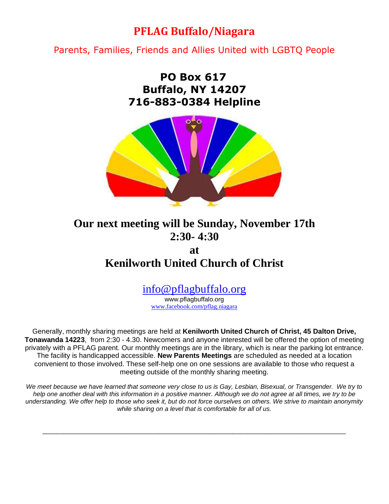## **PFLAG Buffalo/Niagara**

Parents, Families, Friends and Allies United with LGBTQ People

## **PO Box 617 Buffalo, NY 14207 716-883-0384 Helpline**



## **Our next meeting will be Sunday, November 17th 2:30- 4:30**

## **at Kenilworth United Church of Christ**

# [info@pflagbuffalo.org](mailto:info@pflagbuffalo.org)

www.pflagbuffalo.org [www.facebook.com/pflag.niagara](http://www.facebook.com/pflag.niagara)

Generally, monthly sharing meetings are held at **Kenilworth United Church of Christ, 45 Dalton Drive, Tonawanda 14223**, from 2:30 - 4.30. Newcomers and anyone interested will be offered the option of meeting privately with a PFLAG parent. Our monthly meetings are in the library, which is near the parking lot entrance. The facility is handicapped accessible. **New Parents Meetings** are scheduled as needed at a location convenient to those involved. These self-help one on one sessions are available to those who request a meeting outside of the monthly sharing meeting.

*We meet because we have learned that someone very close to us is Gay, Lesbian, Bisexual, or Transgender. We try to help one another deal with this information in a positive manner. Although we do not agree at all times, we try to be understanding. We offer help to those who seek it, but do not force ourselves on others. We strive to maintain anonymity while sharing on a level that is comfortable for all of us.*

\_\_\_\_\_\_\_\_\_\_\_\_\_\_\_\_\_\_\_\_\_\_\_\_\_\_\_\_\_\_\_\_\_\_\_\_\_\_\_\_\_\_\_\_\_\_\_\_\_\_\_\_\_\_\_\_\_\_\_\_\_\_\_\_\_\_\_\_\_\_\_\_\_\_\_\_\_\_\_\_\_\_\_\_\_\_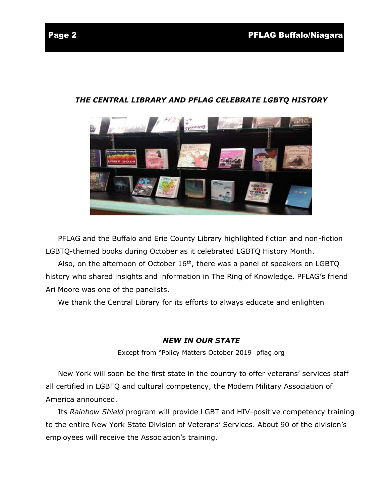### *THE CENTRAL LIBRARY AND PFLAG CELEBRATE LGBTQ HISTORY*

 PFLAG and the Buffalo and Erie County Library highlighted fiction and non-fiction LGBTQ-themed books during October as it celebrated LGBTQ History Month.

Also, on the afternoon of October  $16<sup>th</sup>$ , there was a panel of speakers on LGBTQ history who shared insights and information in The Ring of Knowledge. PFLAG's friend Ari Moore was one of the panelists.

We thank the Central Library for its efforts to always educate and enlighten

### *NEW IN OUR STATE*

Except from "Policy Matters October 2019 pflag.org

 New York will soon be the first state in the country to offer [veterans'](https://nam11.safelinks.protection.outlook.com/?url=https%3A%2F%2Fdefault.salsalabs.org%2FTe68bdcec-a302-4686-9c6f-720e81ab788b%2F014f26c5-1282-4186-b1fd-541691da19f8&data=02%7C01%7C%7Ce601c2ce61b54bdefabc08d749047219%7C84df9e7fe9f640afb435aaaaaaaaaaaa%7C1%7C0%7C637058155745162459&sdata=%2BBk8zG5LRoBLHhB3TnOw1RAESrfdvcQdOrJDVKR99pY%3D&reserved=0) services staff all certified in LGBTQ and cultural [competency,](https://nam11.safelinks.protection.outlook.com/?url=https%3A%2F%2Fdefault.salsalabs.org%2FTe68bdcec-a302-4686-9c6f-720e81ab788b%2F014f26c5-1282-4186-b1fd-541691da19f8&data=02%7C01%7C%7Ce601c2ce61b54bdefabc08d749047219%7C84df9e7fe9f640afb435aaaaaaaaaaaa%7C1%7C0%7C637058155745162459&sdata=%2BBk8zG5LRoBLHhB3TnOw1RAESrfdvcQdOrJDVKR99pY%3D&reserved=0) the Modern Military Association of America announced.

 Its *[Rainbow](https://nam11.safelinks.protection.outlook.com/?url=https%3A%2F%2Fdefault.salsalabs.org%2FTa87076b8-f7fd-4691-893b-055f4f288ca1%2F014f26c5-1282-4186-b1fd-541691da19f8&data=02%7C01%7C%7Ce601c2ce61b54bdefabc08d749047219%7C84df9e7fe9f640afb435aaaaaaaaaaaa%7C1%7C0%7C637058155745172463&sdata=exI1TtjYspg4XLZzy7mjf0V8bytZolHw0EQNd1xb6%2Bc%3D&reserved=0) Shield* program will provide LGBT and HIV-positive competency training to the entire New York State Division of Veterans' Services. About 90 of the division's employees will receive the Association's training.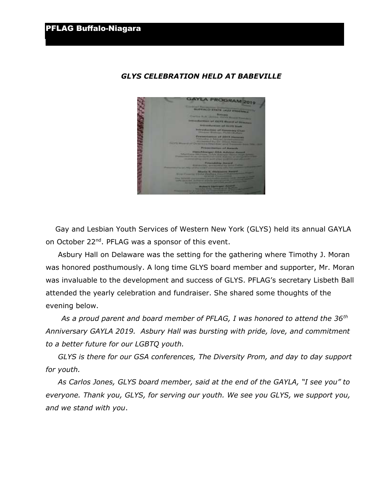

### *GLYS CELEBRATION HELD AT BABEVILLE*

 Gay and Lesbian Youth Services of Western New York (GLYS) held its annual GAYLA on October 22nd. PFLAG was a sponsor of this event.

 Asbury Hall on Delaware was the setting for the gathering where Timothy J. Moran was honored posthumously. A long time GLYS board member and supporter, Mr. Moran was invaluable to the development and success of GLYS. PFLAG's secretary Lisbeth Ball attended the yearly celebration and fundraiser. She shared some thoughts of the evening below.

 *As a proud parent and board member of PFLAG, I was honored to attend the 36th Anniversary GAYLA 2019. Asbury Hall was bursting with pride, love, and commitment to a better future for our LGBTQ youth.*

 *GLYS is there for our GSA conferences, The Diversity Prom, and day to day support for youth.* 

 *As Carlos Jones, GLYS board member, said at the end of the GAYLA, "I see you" to everyone. Thank you, GLYS, for serving our youth. We see you GLYS, we support you, and we stand with you*.